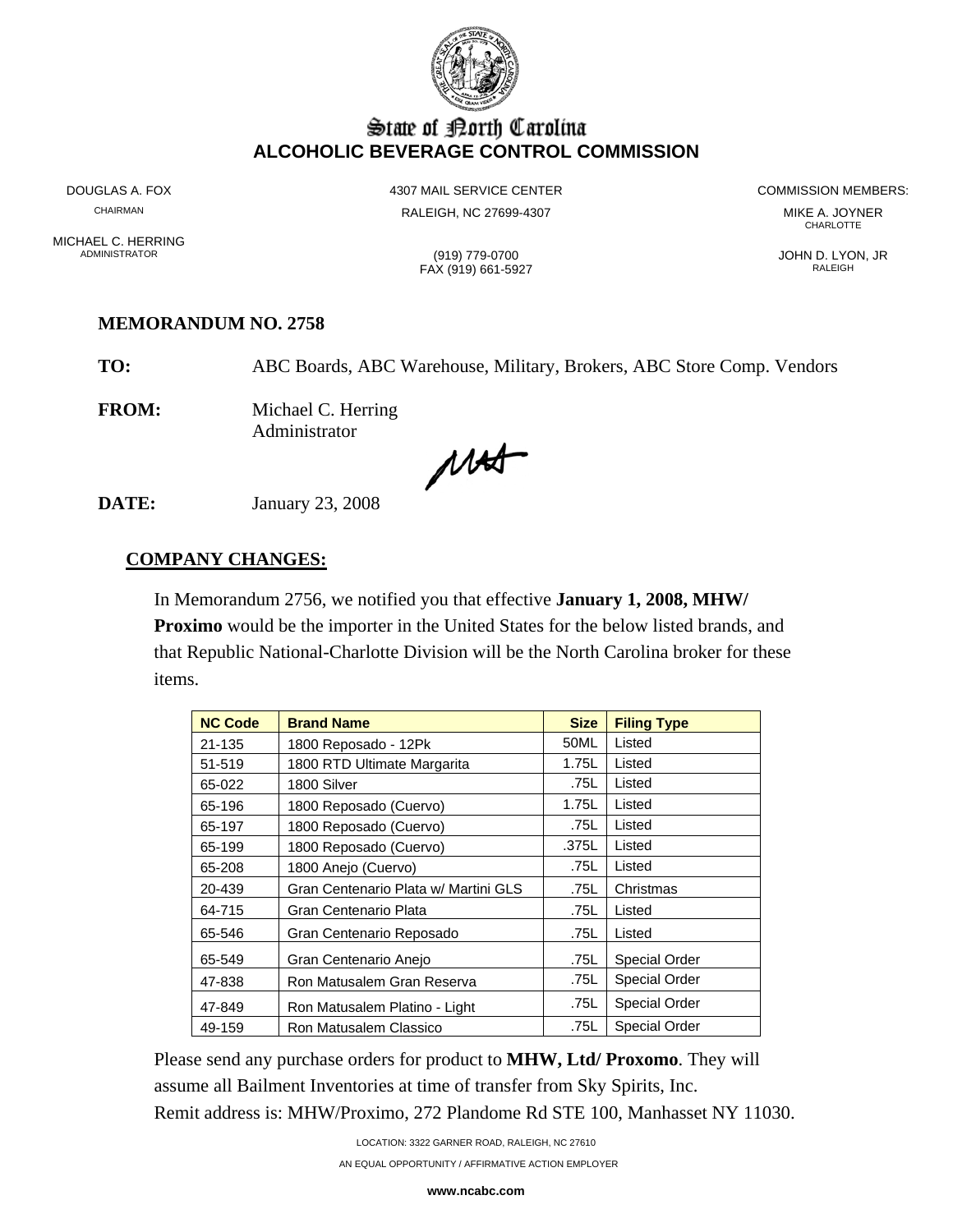

# State of Borth Carolina **ALCOHOLIC BEVERAGE CONTROL COMMISSION**

MICHAEL C. HERRING<br>ADMINISTRATOR

DOUGLAS A. FOX **A COMMISSION MEMBERS:** 4307 MAIL SERVICE CENTER **A COMMISSION MEMBERS:** CHAIRMAN RALEIGH, NC 27699-4307 MIKE A. JOYNER

**CHARLOTTE** 

ADMINISTRATOR (919) 779-0700 JOHN D. LYON, JR

FAX (919) 661-5927 RALEIGH

#### **MEMORANDUM NO. 2758**

**TO:** ABC Boards, ABC Warehouse, Military, Brokers, ABC Store Comp. Vendors

**FROM:** Michael C. Herring Administrator

MAS

**DATE:** January 23, 2008

### **COMPANY CHANGES:**

In Memorandum 2756, we notified you that effective **January 1, 2008, MHW/ Proximo** would be the importer in the United States for the below listed brands, and that Republic National-Charlotte Division will be the North Carolina broker for these items.

| <b>NC Code</b> | <b>Brand Name</b>                    | <b>Size</b> | <b>Filing Type</b>   |  |
|----------------|--------------------------------------|-------------|----------------------|--|
| 21-135         | 1800 Reposado - 12Pk                 | 50ML        | Listed               |  |
| 51-519         | 1800 RTD Ultimate Margarita          | 1.75L       | Listed               |  |
| 65-022         | 1800 Silver                          | .75L        | Listed               |  |
| 65-196         | 1800 Reposado (Cuervo)               | 1.75L       | Listed               |  |
| 65-197         | 1800 Reposado (Cuervo)               | .75L        | Listed               |  |
| 65-199         | 1800 Reposado (Cuervo)               | .375L       | Listed               |  |
| 65-208         | 1800 Anejo (Cuervo)                  | .75L        | Listed               |  |
| 20-439         | Gran Centenario Plata w/ Martini GLS | .75L        | Christmas            |  |
| 64-715         | Gran Centenario Plata                | .75L        | Listed               |  |
| 65-546         | Gran Centenario Reposado             | .75L        | Listed               |  |
| 65-549         | Gran Centenario Anejo                | .75L        | <b>Special Order</b> |  |
| 47-838         | Ron Matusalem Gran Reserva           | .75L        | <b>Special Order</b> |  |
| 47-849         | Ron Matusalem Platino - Light        | .75L        | <b>Special Order</b> |  |
| 49-159         | Ron Matusalem Classico               | .75L        | <b>Special Order</b> |  |

Please send any purchase orders for product to **MHW, Ltd/ Proxomo**. They will assume all Bailment Inventories at time of transfer from Sky Spirits, Inc. Remit address is: MHW/Proximo, 272 Plandome Rd STE 100, Manhasset NY 11030.

LOCATION: 3322 GARNER ROAD, RALEIGH, NC 27610

AN EQUAL OPPORTUNITY / AFFIRMATIVE ACTION EMPLOYER